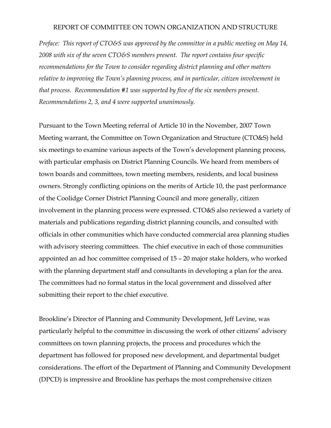#### REPORT OF COMMITTEE ON TOWN ORGANIZATION AND STRUCTURE

*Preface: This report of CTO&S was approved by the committee in a public meeting on May 14, 2008 with six of the seven CTO&S members present. The report contains four specific recommendations for the Town to consider regarding district planning and other matters relative to improving the Town's planning process, and in particular, citizen involvement in that process. Recommendation #1 was supported by five of the six members present. Recommendations 2, 3, and 4 were supported unanimously.* 

Pursuant to the Town Meeting referral of Article 10 in the November, 2007 Town Meeting warrant, the Committee on Town Organization and Structure (CTO&S) held six meetings to examine various aspects of the Town's development planning process, with particular emphasis on District Planning Councils. We heard from members of town boards and committees, town meeting members, residents, and local business owners. Strongly conflicting opinions on the merits of Article 10, the past performance of the Coolidge Corner District Planning Council and more generally, citizen involvement in the planning process were expressed. CTO&S also reviewed a variety of materials and publications regarding district planning councils, and consulted with officials in other communities which have conducted commercial area planning studies with advisory steering committees. The chief executive in each of those communities appointed an ad hoc committee comprised of 15 – 20 major stake holders, who worked with the planning department staff and consultants in developing a plan for the area. The committees had no formal status in the local government and dissolved after submitting their report to the chief executive.

Brookline's Director of Planning and Community Development, Jeff Levine, was particularly helpful to the committee in discussing the work of other citizens' advisory committees on town planning projects, the process and procedures which the department has followed for proposed new development, and departmental budget considerations. The effort of the Department of Planning and Community Development (DPCD) is impressive and Brookline has perhaps the most comprehensive citizen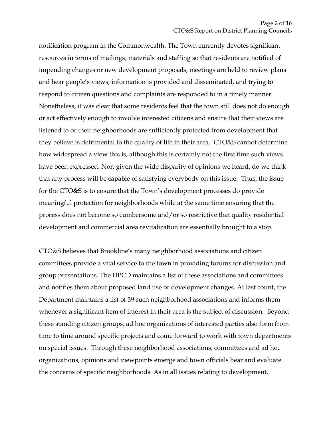notification program in the Commonwealth. The Town currently devotes significant resources in terms of mailings, materials and staffing so that residents are notified of impending changes or new development proposals, meetings are held to review plans and hear people's views, information is provided and disseminated, and trying to respond to citizen questions and complaints are responded to in a timely manner. Nonetheless, it was clear that some residents feel that the town still does not do enough or act effectively enough to involve interested citizens and ensure that their views are listened to or their neighborhoods are sufficiently protected from development that they believe is detrimental to the quality of life in their area. CTO&S cannot determine how widespread a view this is, although this is certainly not the first time such views have been expressed. Nor, given the wide disparity of opinions we heard, do we think that any process will be capable of satisfying everybody on this issue. Thus, the issue for the CTO&S is to ensure that the Town's development processes do provide meaningful protection for neighborhoods while at the same time ensuring that the process does not become so cumbersome and/or so restrictive that quality residential development and commercial area revitalization are essentially brought to a stop.

CTO&S believes that Brookline's many neighborhood associations and citizen committees provide a vital service to the town in providing forums for discussion and group presentations. The DPCD maintains a list of these associations and committees and notifies them about proposed land use or development changes. At last count, the Department maintains a list of 39 such neighborhood associations and informs them whenever a significant item of interest in their area is the subject of discussion. Beyond these standing citizen groups, ad hoc organizations of interested parties also form from time to time around specific projects and come forward to work with town departments on special issues. Through these neighborhood associations, committees and ad hoc organizations, opinions and viewpoints emerge and town officials hear and evaluate the concerns of specific neighborhoods. As in all issues relating to development,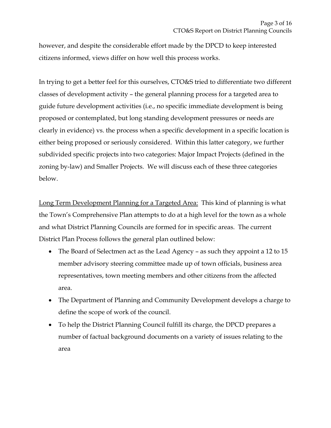however, and despite the considerable effort made by the DPCD to keep interested citizens informed, views differ on how well this process works.

In trying to get a better feel for this ourselves, CTO&S tried to differentiate two different classes of development activity – the general planning process for a targeted area to guide future development activities (i.e., no specific immediate development is being proposed or contemplated, but long standing development pressures or needs are clearly in evidence) vs. the process when a specific development in a specific location is either being proposed or seriously considered. Within this latter category, we further subdivided specific projects into two categories: Major Impact Projects (defined in the zoning by-law) and Smaller Projects. We will discuss each of these three categories below.

Long Term Development Planning for a Targeted Area: This kind of planning is what the Town's Comprehensive Plan attempts to do at a high level for the town as a whole and what District Planning Councils are formed for in specific areas. The current District Plan Process follows the general plan outlined below:

- The Board of Selectmen act as the Lead Agency as such they appoint a 12 to 15 member advisory steering committee made up of town officials, business area representatives, town meeting members and other citizens from the affected area.
- The Department of Planning and Community Development develops a charge to define the scope of work of the council.
- To help the District Planning Council fulfill its charge, the DPCD prepares a number of factual background documents on a variety of issues relating to the area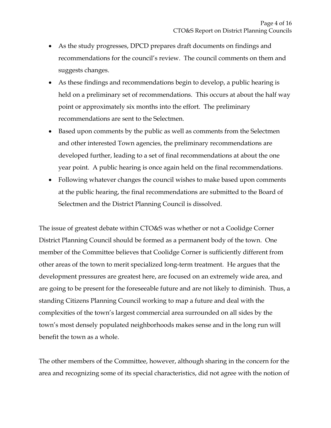- As the study progresses, DPCD prepares draft documents on findings and recommendations for the council's review. The council comments on them and suggests changes.
- As these findings and recommendations begin to develop, a public hearing is held on a preliminary set of recommendations. This occurs at about the half way point or approximately six months into the effort. The preliminary recommendations are sent to the Selectmen.
- Based upon comments by the public as well as comments from the Selectmen and other interested Town agencies, the preliminary recommendations are developed further, leading to a set of final recommendations at about the one year point. A public hearing is once again held on the final recommendations.
- Following whatever changes the council wishes to make based upon comments at the public hearing, the final recommendations are submitted to the Board of Selectmen and the District Planning Council is dissolved.

The issue of greatest debate within CTO&S was whether or not a Coolidge Corner District Planning Council should be formed as a permanent body of the town. One member of the Committee believes that Coolidge Corner is sufficiently different from other areas of the town to merit specialized long-term treatment. He argues that the development pressures are greatest here, are focused on an extremely wide area, and are going to be present for the foreseeable future and are not likely to diminish. Thus, a standing Citizens Planning Council working to map a future and deal with the complexities of the town's largest commercial area surrounded on all sides by the town's most densely populated neighborhoods makes sense and in the long run will benefit the town as a whole.

The other members of the Committee, however, although sharing in the concern for the area and recognizing some of its special characteristics, did not agree with the notion of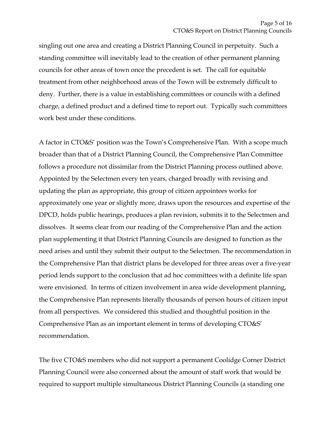singling out one area and creating a District Planning Council in perpetuity. Such a standing committee will inevitably lead to the creation of other permanent planning councils for other areas of town once the precedent is set. The call for equitable treatment from other neighborhood areas of the Town will be extremely difficult to deny. Further, there is a value in establishing committees or councils with a defined charge, a defined product and a defined time to report out. Typically such committees work best under these conditions.

A factor in CTO&S' position was the Town's Comprehensive Plan. With a scope much broader than that of a District Planning Council, the Comprehensive Plan Committee follows a procedure not dissimilar from the District Planning process outlined above. Appointed by the Selectmen every ten years, charged broadly with revising and updating the plan as appropriate, this group of citizen appointees works for approximately one year or slightly more, draws upon the resources and expertise of the DPCD, holds public hearings, produces a plan revision, submits it to the Selectmen and dissolves. It seems clear from our reading of the Comprehensive Plan and the action plan supplementing it that District Planning Councils are designed to function as the need arises and until they submit their output to the Selectmen. The recommendation in the Comprehensive Plan that district plans be developed for three areas over a five-year period lends support to the conclusion that ad hoc committees with a definite life span were envisioned. In terms of citizen involvement in area wide development planning, the Comprehensive Plan represents literally thousands of person hours of citizen input from all perspectives. We considered this studied and thoughtful position in the Comprehensive Plan as an important element in terms of developing CTO&S' recommendation.

The five CTO&S members who did not support a permanent Coolidge Corner District Planning Council were also concerned about the amount of staff work that would be required to support multiple simultaneous District Planning Councils (a standing one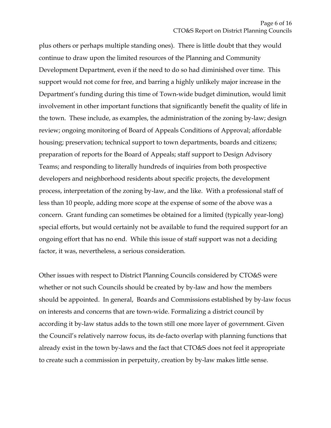plus others or perhaps multiple standing ones). There is little doubt that they would continue to draw upon the limited resources of the Planning and Community Development Department, even if the need to do so had diminished over time. This support would not come for free, and barring a highly unlikely major increase in the Department's funding during this time of Town-wide budget diminution, would limit involvement in other important functions that significantly benefit the quality of life in the town. These include, as examples, the administration of the zoning by-law; design review; ongoing monitoring of Board of Appeals Conditions of Approval; affordable housing; preservation; technical support to town departments, boards and citizens; preparation of reports for the Board of Appeals; staff support to Design Advisory Teams; and responding to literally hundreds of inquiries from both prospective developers and neighborhood residents about specific projects, the development process, interpretation of the zoning by-law, and the like. With a professional staff of less than 10 people, adding more scope at the expense of some of the above was a concern. Grant funding can sometimes be obtained for a limited (typically year-long) special efforts, but would certainly not be available to fund the required support for an ongoing effort that has no end. While this issue of staff support was not a deciding factor, it was, nevertheless, a serious consideration.

Other issues with respect to District Planning Councils considered by CTO&S were whether or not such Councils should be created by by-law and how the members should be appointed. In general, Boards and Commissions established by by-law focus on interests and concerns that are town-wide. Formalizing a district council by according it by-law status adds to the town still one more layer of government. Given the Council's relatively narrow focus, its de-facto overlap with planning functions that already exist in the town by-laws and the fact that CTO&S does not feel it appropriate to create such a commission in perpetuity, creation by by-law makes little sense.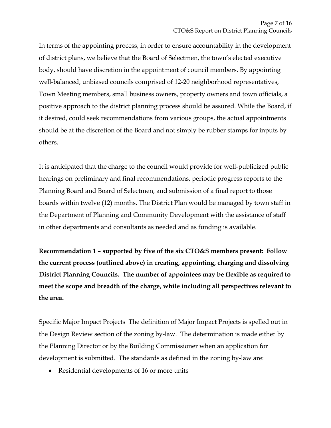In terms of the appointing process, in order to ensure accountability in the development of district plans, we believe that the Board of Selectmen, the town's elected executive body, should have discretion in the appointment of council members. By appointing well-balanced, unbiased councils comprised of 12-20 neighborhood representatives, Town Meeting members, small business owners, property owners and town officials, a positive approach to the district planning process should be assured. While the Board, if it desired, could seek recommendations from various groups, the actual appointments should be at the discretion of the Board and not simply be rubber stamps for inputs by others.

It is anticipated that the charge to the council would provide for well-publicized public hearings on preliminary and final recommendations, periodic progress reports to the Planning Board and Board of Selectmen, and submission of a final report to those boards within twelve (12) months. The District Plan would be managed by town staff in the Department of Planning and Community Development with the assistance of staff in other departments and consultants as needed and as funding is available.

**Recommendation 1 – supported by five of the six CTO&S members present: Follow the current process (outlined above) in creating, appointing, charging and dissolving District Planning Councils. The number of appointees may be flexible as required to meet the scope and breadth of the charge, while including all perspectives relevant to the area.**

Specific Major Impact Projects The definition of Major Impact Projects is spelled out in the Design Review section of the zoning by-law. The determination is made either by the Planning Director or by the Building Commissioner when an application for development is submitted. The standards as defined in the zoning by-law are:

• Residential developments of 16 or more units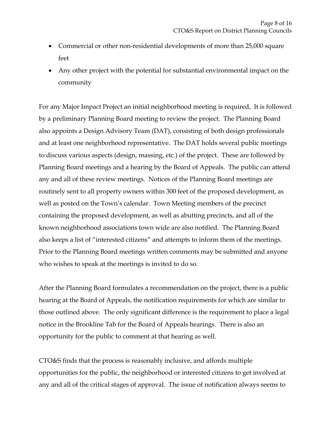- Commercial or other non-residential developments of more than 25,000 square feet
- Any other project with the potential for substantial environmental impact on the community

For any Major Impact Project an initial neighborhood meeting is required, It is followed by a preliminary Planning Board meeting to review the project. The Planning Board also appoints a Design Advisory Team (DAT), consisting of both design professionals and at least one neighborhood representative. The DAT holds several public meetings to discuss various aspects (design, massing, etc.) of the project. These are followed by Planning Board meetings and a hearing by the Board of Appeals. The public can attend any and all of these review meetings. Notices of the Planning Board meetings are routinely sent to all property owners within 300 feet of the proposed development, as well as posted on the Town's calendar. Town Meeting members of the precinct containing the proposed development, as well as abutting precincts, and all of the known neighborhood associations town wide are also notified. The Planning Board also keeps a list of "interested citizens" and attempts to inform them of the meetings. Prior to the Planning Board meetings written comments may be submitted and anyone who wishes to speak at the meetings is invited to do so.

After the Planning Board formulates a recommendation on the project, there is a public hearing at the Board of Appeals, the notification requirements for which are similar to those outlined above. The only significant difference is the requirement to place a legal notice in the Brookline Tab for the Board of Appeals hearings. There is also an opportunity for the public to comment at that hearing as well.

CTO&S finds that the process is reasonably inclusive, and affords multiple opportunities for the public, the neighborhood or interested citizens to get involved at any and all of the critical stages of approval. The issue of notification always seems to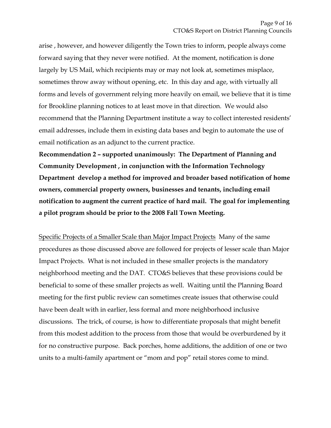arise , however, and however diligently the Town tries to inform, people always come forward saying that they never were notified. At the moment, notification is done largely by US Mail, which recipients may or may not look at, sometimes misplace, sometimes throw away without opening, etc. In this day and age, with virtually all forms and levels of government relying more heavily on email, we believe that it is time for Brookline planning notices to at least move in that direction. We would also recommend that the Planning Department institute a way to collect interested residents' email addresses, include them in existing data bases and begin to automate the use of email notification as an adjunct to the current practice.

**Recommendation 2 – supported unanimously: The Department of Planning and Community Development , in conjunction with the Information Technology Department develop a method for improved and broader based notification of home owners, commercial property owners, businesses and tenants, including email notification to augment the current practice of hard mail. The goal for implementing a pilot program should be prior to the 2008 Fall Town Meeting.**

Specific Projects of a Smaller Scale than Major Impact Projects Many of the same procedures as those discussed above are followed for projects of lesser scale than Major Impact Projects. What is not included in these smaller projects is the mandatory neighborhood meeting and the DAT. CTO&S believes that these provisions could be beneficial to some of these smaller projects as well. Waiting until the Planning Board meeting for the first public review can sometimes create issues that otherwise could have been dealt with in earlier, less formal and more neighborhood inclusive discussions. The trick, of course, is how to differentiate proposals that might benefit from this modest addition to the process from those that would be overburdened by it for no constructive purpose. Back porches, home additions, the addition of one or two units to a multi-family apartment or "mom and pop" retail stores come to mind.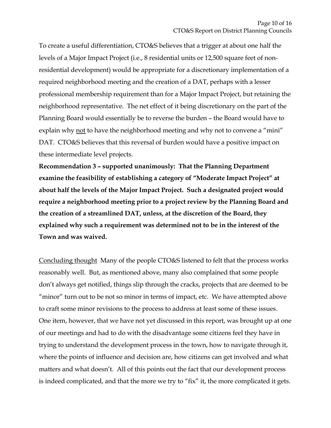To create a useful differentiation, CTO&S believes that a trigger at about one half the levels of a Major Impact Project (i.e., 8 residential units or 12,500 square feet of nonresidential development) would be appropriate for a discretionary implementation of a required neighborhood meeting and the creation of a DAT, perhaps with a lesser professional membership requirement than for a Major Impact Project, but retaining the neighborhood representative. The net effect of it being discretionary on the part of the Planning Board would essentially be to reverse the burden – the Board would have to explain why not to have the neighborhood meeting and why not to convene a "mini" DAT. CTO&S believes that this reversal of burden would have a positive impact on these intermediate level projects.

**Recommendation 3 – supported unanimously: That the Planning Department examine the feasibility of establishing a category of "Moderate Impact Project" at about half the levels of the Major Impact Project. Such a designated project would require a neighborhood meeting prior to a project review by the Planning Board and the creation of a streamlined DAT, unless, at the discretion of the Board, they explained why such a requirement was determined not to be in the interest of the Town and was waived.** 

Concluding thought Many of the people CTO&S listened to felt that the process works reasonably well. But, as mentioned above, many also complained that some people don't always get notified, things slip through the cracks, projects that are deemed to be "minor" turn out to be not so minor in terms of impact, etc. We have attempted above to craft some minor revisions to the process to address at least some of these issues. One item, however, that we have not yet discussed in this report, was brought up at one of our meetings and had to do with the disadvantage some citizens feel they have in trying to understand the development process in the town, how to navigate through it, where the points of influence and decision are, how citizens can get involved and what matters and what doesn't. All of this points out the fact that our development process is indeed complicated, and that the more we try to "fix" it, the more complicated it gets.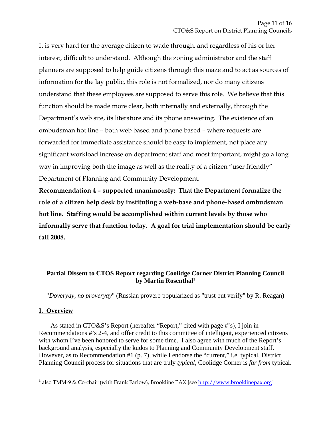It is very hard for the average citizen to wade through, and regardless of his or her interest, difficult to understand. Although the zoning administrator and the staff planners are supposed to help guide citizens through this maze and to act as sources of information for the lay public, this role is not formalized, nor do many citizens understand that these employees are supposed to serve this role. We believe that this function should be made more clear, both internally and externally, through the Department's web site, its literature and its phone answering. The existence of an ombudsman hot line – both web based and phone based – where requests are forwarded for immediate assistance should be easy to implement, not place any significant workload increase on department staff and most important, might go a long way in improving both the image as well as the reality of a citizen "user friendly" Department of Planning and Community Development.

**Recommendation 4 – supported unanimously: That the Department formalize the role of a citizen help desk by instituting a web-base and phone-based ombudsman hot line. Staffing would be accomplished within current levels by those who informally serve that function today. A goal for trial implementation should be early fall 2008.** 

## **Partial Dissent to CTOS Report regarding Coolidge Corner District Planning Council by Martin Rosenthal1**

\_\_\_\_\_\_\_\_\_\_\_\_\_\_\_\_\_\_\_\_\_\_\_\_\_\_\_\_\_\_\_\_\_\_\_\_\_\_\_\_\_\_\_\_\_\_\_\_\_\_\_\_\_\_\_\_\_\_\_\_\_\_\_\_\_\_\_\_\_\_\_\_\_\_\_\_\_\_

"*Doveryay, no proveryay*" (Russian proverb popularized as "trust but verify" by R. Reagan)

# **I. Overview**

 $\overline{a}$ 

 As stated in CTO&S's Report (hereafter "Report," cited with page #'s), I join in Recommendations #'s 2-4, and offer credit to this committee of intelligent, experienced citizens with whom I've been honored to serve for some time. I also agree with much of the Report's background analysis, especially the kudos to Planning and Community Development staff. However, as to Recommendation #1 (p. 7), while I endorse the "current," i.e. typical, District Planning Council process for situations that are truly *typical*, Coolidge Corner is *far from* typical.

<sup>&</sup>lt;sup>1</sup> also TMM-9 & Co-chair (with Frank Farlow), Brookline PAX [see http://www.brooklinepax.org]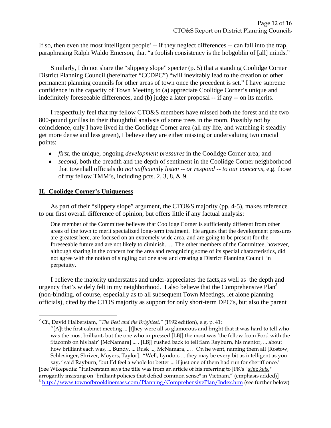If so, then even the most intelligent people<sup>2</sup> -- if they neglect differences  $-$  can fall into the trap, paraphrasing Ralph Waldo Emerson, that "a foolish consistency is the hobgoblin of [all] minds."

 Similarly, I do not share the "slippery slope" specter (p. 5) that a standing Coolidge Corner District Planning Council (hereinafter "CCDPC") "will inevitably lead to the creation of other permanent planning councils for other areas of town once the precedent is set." I have supreme confidence in the capacity of Town Meeting to (a) appreciate Coolidge Corner's unique and indefinitely foreseeable differences, and (b) judge a later proposal -- if any -- on its merits.

 I respectfully feel that my fellow CTO&S members have missed both the forest and the two 800-pound gorillas in their thoughtful analysis of some trees in the room. Possibly not by coincidence, only I have lived in the Coolidge Corner area (all my life, and watching it steadily get more dense and less green), I believe they are either missing or undervaluing two crucial points:

- *first*, the unique, ongoing *development pressures* in the Coolidge Corner area; and
- *second*, both the breadth and the depth of sentiment in the Coolidge Corner neighborhood that townhall officials do *not sufficiently listen -- or respond -- to our concerns*, e.g. those of my fellow TMM's, including pcts. 2, 3, 8, & 9.

### **II. Coolidge Corner's Uniqueness**

 $\overline{a}$ 

 As part of their "slippery slope" argument, the CTO&S majority (pp. 4-5), makes reference to our first overall difference of opinion, but offers little if any factual analysis:

One member of the Committee believes that Coolidge Corner is sufficiently different from other areas of the town to merit specialized long-term treatment. He argues that the development pressures are greatest here, are focused on an extremely wide area, and are going to be present for the foreseeable future and are not likely to diminish. ... The other members of the Committee, however, although sharing in the concern for the area and recognizing some of its special characteristics, did not agree with the notion of singling out one area and creating a District Planning Council in perpetuity.

 I believe the majority understates and under-appreciates the facts,as well as the depth and urgency that's widely felt in my neighborhood. I also believe that the Comprehensive Plan*<sup>3</sup>* (non-binding, of course, especially as to all subsequent Town Meetings, let alone planning officials), cited by the CTOS majority as support for only short-term DPC's, but also the parent

**<sup>2</sup>** Cf., David Halberstam, "*The Best and the Brightest,"* (1992 edition), e.g. p. 41:

<sup>&</sup>quot;[A]t the first cabinet meeting ... [t]hey were all so glamorous and bright that it was hard to tell who was the most brilliant, but the one who impressed [LBJ] the most was 'the fellow from Ford with the Stacomb on his hair' [McNamara] ... . [LBJ] rushed back to tell Sam Rayburn, his mentor, ... about how brilliant each was, ... Bundy, ... Rusk ..., McNamara, ... . On he went, naming them all [Rostow, Schlesinger, Shriver, Moyers, Taylor]. "Well, Lyndon, ... they may be every bit as intelligent as you say, ' said Rayburn, 'but I'd feel a whole lot better ... if just one of them had run for sheriff once.' [See Wikepedia: "Halberstam says the title was from an article of his referring to JFK's "*whiz kids,"*

arrogantly insisting on "brilliant policies that defied common sense" in Vietnam." (emphasis added)] **<sup>3</sup>** http://www.townofbrooklinemass.com/Planning/ComprehensivePlan/Index.htm (see further below)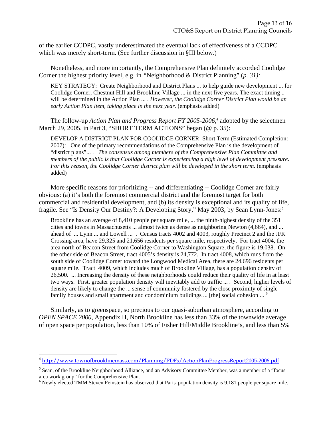of the earlier CCDPC, vastly underestimated the eventual lack of effectiveness of a CCDPC which was merely short-term. (See further discussion in §III below.)

 Nonetheless, and more importantly, the Comprehensive Plan definitely accorded Coolidge Corner the highest priority level, e.g. in *"*Neighborhood & District Planning" (*p. 31):*

KEY STRATEGY: Create Neighborhood and District Plans ... to help guide new development ... for Coolidge Corner, Chestnut Hill and Brookline Village ... in the next five years. The exact timing .. will be determined in the Action Plan ... . *However, the Coolidge Corner District Plan would be an*  early Action Plan item, taking place in the next year. (emphasis added)

The follow-up *Action Plan and Progress Report FY 2005-2006*,<sup>4</sup> adopted by the selectmen March 29, 2005, in Part 3, "SHORT TERM ACTIONS" began (@ p. 35):

DEVELOP A DISTRICT PLAN FOR COOLIDGE CORNER: Short Term (Estimated Completion: 2007): One of the primary recommendations of the Comprehensive Plan is the development of "district plans"... . *The consensus among members of the Comprehensive Plan Committee and members of the public is that Coolidge Corner is experiencing a high level of development pressure.*  For this reason, the Coolidge Corner district plan will be developed in the short term. (emphasis added)

 More specific reasons for prioritizing -- and differentiating -- Coolidge Corner are fairly obvious: (a) it's both the foremost commercial district and the foremost target for both commercial and residential development, and (b) its density is exceptional and its quality of life, fragile. See "Is Density Our Destiny?: A Developing Story," May 2003, by Sean Lynn-Jones:**<sup>5</sup>**

Brookline has an average of 8,410 people per square mile, ... the ninth-highest density of the 351 cities and towns in Massachusetts ... almost twice as dense as neighboring Newton (4,664), and ... ahead of ... Lynn ... and Lowell ... . Census tracts 4002 and 4003, roughly Precinct 2 and the JFK Crossing area, have 29,325 and 21,656 residents per square mile, respectively. For tract 4004, the area north of Beacon Street from Coolidge Corner to Washington Square, the figure is 19,038. On the other side of Beacon Street, tract 4005's density is 24,772. In tract 4008, which runs from the south side of Coolidge Corner toward the Longwood Medical Area, there are 24,696 residents per square mile. Tract 4009, which includes much of Brookline Village, has a population density of 26,500. ... Increasing the density of these neighborhoods could reduce their quality of life in at least two ways. First, greater population density will inevitably add to traffic ... . Second, higher levels of density are likely to change the ... sense of community fostered by the close proximity of singlefamily houses and small apartment and condominium buildings ... [the] social cohesion ... **<sup>6</sup>**

 Similarly, as to greenspace, so precious to our quasi-suburban atmosphere, according to *OPEN SPACE 2000*, Appendix H, North Brookline has less than 33% of the townwide average of open space per population, less than 10% of Fisher Hill/Middle Brookline's, and less than 5%

 $\overline{a}$ 

**<sup>4</sup>** http://www.townofbrooklinemass.com/Planning/PDFs/ActionPlanProgressReport2005-2006.pdf

**<sup>5</sup>** Sean, of the Brookline Neighborhood Alliance, and an Advisory Committee Member, was a member of a "focus area work group" for the Comprehensive Plan.

**<sup>6</sup>** Newly elected TMM Steven Feinstein has observed that Paris' population density is 9,181 people per square mile.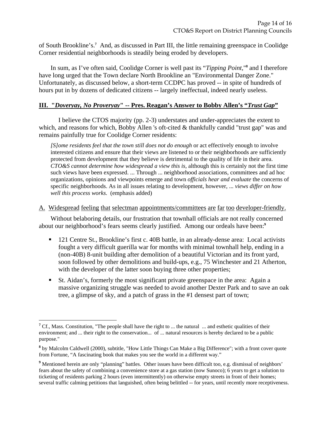of South Brookline's.**<sup>7</sup>** And, as discussed in Part III, the little remaining greenspace in Coolidge Corner residential neighborhoods is steadily being eroded by developers.

 In sum, as I've often said, Coolidge Corner is well past its "*Tipping Point,*"**<sup>8</sup>** and I therefore have long urged that the Town declare North Brookline an "Environmental Danger Zone." Unfortunately, as discussed below, a short-term CCDPC has proved -- in spite of hundreds of hours put in by dozens of dedicated citizens -- largely ineffectual, indeed nearly useless.

### **III. "***Doveryay, No Proveryay***" -- Pres. Reagan's Answer to Bobby Allen's "***Trust Gap***"**

 I believe the CTOS majority (pp. 2-3) understates and under-appreciates the extent to which, and reasons for which, Bobby Allen 's oft-cited & thankfully candid "trust gap" was and remains painfully true for Coolidge Corner residents:

*[S]ome residents feel that the town still does not do enough* or act effectively enough to involve interested citizens and ensure that their views are listened to or their neighborhoods are sufficiently protected from development that they believe is detrimental to the quality of life in their area. *CTO&S cannot determine how widespread a view this is,* although this is certainly not the first time such views have been expressed. ... Through ... neighborhood associations, committees and ad hoc organizations, opinions and viewpoints emerge and town *officials hear and evaluate* the concerns of specific neighborhoods. As in all issues relating to development, however, ... *views differ on how well this process works.* (emphasis added)

A. Widespread feeling that selectman appointments/committees are far too developer-friendly.

 Without belaboring details, our frustration that townhall officials are not really concerned about our neighborhood's fears seems clearly justified. Among our ordeals have been:**<sup>9</sup>**

- 121 Centre St., Brookline's first c. 40B battle, in an already-dense area: Local activists fought a very difficult guerilla war for months with minimal townhall help, ending in a (non-40B) 8-unit building after demolition of a beautiful Victorian and its front yard, soon followed by other demolitions and build-ups, e.g., 75 Winchester and 21 Atherton, with the developer of the latter soon buying three other properties;
- St. Aidan's, formerly the most significant private greenspace in the area: Again a massive organizing struggle was needed to avoid another Dexter Park and to save an oak tree, a glimpse of sky, and a patch of grass in the #1 densest part of town;

 $\overline{a}$ 

<sup>&</sup>lt;sup>7</sup> Cf., Mass. Constitution, "The people shall have the right to ... the natural ... and esthetic qualities of their environment; and ... their right to the conservation... of ... natural resources is hereby declared to be a public purpose."

**<sup>8</sup>** by Malcolm Caldwell (2000), subtitle, "How Little Things Can Make a Big Difference"; with a front cover quote from Fortune, "A fascinating book that makes you see the world in a different way."

<sup>&</sup>lt;sup>9</sup> Mentioned herein are only "planning" battles. Other issues have been difficult too, e.g. dismissal of neighbors' fears about the safety of combining a convenience store at a gas station (now Sunoco); 6 years to get a solution to ticketing of residents parking 2 hours (even intermittently) on otherwise empty streets in front of their homes; several traffic calming petitions that languished, often being belittled -- for years, until recently more receptiveness.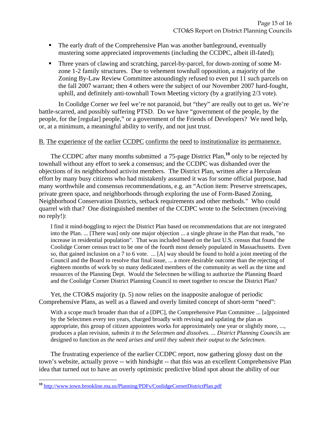- The early draft of the Comprehensive Plan was another battleground, eventually mustering some appreciated improvements (including the CCDPC, albeit ill-fated);
- Three years of clawing and scratching, parcel-by-parcel, for down-zoning of some Mzone 1-2 family structures. Due to vehement townhall opposition, a majority of the Zoning By-Law Review Committee astoundingly refused to even put 11 such parcels on the fall 2007 warrant; then 4 others were the subject of our November 2007 hard-fought, uphill, and definitely anti-townhall Town Meeting victory (by a gratifying 2/3 vote).

 In Coolidge Corner we feel we're not paranoid, but "they" are really out to get us. We're battle-scarred, and possibly suffering PTSD. Do we have "government of the people, by the people, for the [regular] people," or a government of the Friends of Developers? We need help, or, at a minimum, a meaningful ability to verify, and not just trust.

#### B. The experience of the earlier CCDPC confirms the need to institutionalize its permanence.

 The CCDPC after many months submitted a 75-page District Plan,**<sup>10</sup>** only to be rejected by townhall without any effort to seek a consensus; and the CCDPC was disbanded over the objections of its neighborhood activist members. The District Plan, written after a Herculean effort by many busy citizens who had mistakenly assumed it was for some official purpose, had many worthwhile and consensus recommendations, e.g. an "Action item: Preserve streetscapes, private green space, and neighborhoods through exploring the use of Form-Based Zoning, Neighborhood Conservation Districts, setback requirements and other methods." Who could quarrel with that? One distinguished member of the CCDPC wrote to the Selectmen (receiving no reply!):

I find it mind-boggling to reject the District Plan based on recommendations that are not integrated into the Plan. ... [There was] only one major objection ... a single phrase in the Plan that reads, "no increase in residential population". That was included based on the last U.S. census that found the Coolidge Corner census tract to be one of the fourth most densely populated in Massachusetts. Even so, that gained inclusion on a 7 to 6 vote. ... [A] way should be found to hold a joint meeting of the Council and the Board to resolve that final issue, ... a more desirable outcome than the rejecting of eighteen months of work by so many dedicated members of the community as well as the time and resources of the Planning Dept. Would the Selectmen be willing to authorize the Planning Board and the Coolidge Corner District Planning Council to meet together to rescue the District Plan?

Yet, the CTO&S majority (p. 5) now relies on the inapposite analogue of periodic Comprehensive Plans, as well as a flawed and overly limited concept of short-term "need":

With a scope much broader than that of a [DPC], the Comprehensive Plan Committee ... [a]ppointed by the Selectmen every ten years, charged broadly with revising and updating the plan as appropriate, this group of citizen appointees works for approximately one year or slightly more, ..., produces a plan revision*, submits it to the Selectmen and dissolves.* ... *District Planning Councils* are designed to function *as the need arises and until they submit their output to the Selectmen*.

 The frustrating experience of the earlier CCDPC report, now gathering glossy dust on the town's website, actually prove -- with hindsight -- that this was an excellent Comprehensive Plan idea that turned out to have an overly optimistic predictive blind spot about the ability of our

 $\overline{a}$ 

**<sup>10</sup>** http://www.town.brookline.ma.us/Planning/PDFs/CoolidgeCornerDistrictPlan.pdf